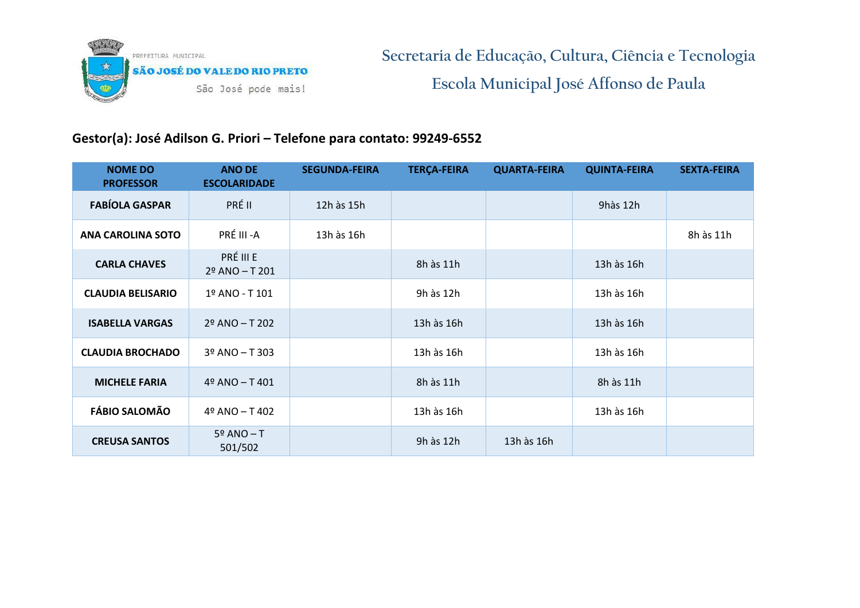

## **Gestor(a): José Adilson G. Priori – Telefone para contato: 99249-6552**

| <b>NOME DO</b><br><b>PROFESSOR</b> | <b>ANO DE</b><br><b>ESCOLARIDADE</b> | <b>SEGUNDA-FEIRA</b> | <b>TERÇA-FEIRA</b> | <b>QUARTA-FEIRA</b> | <b>QUINTA-FEIRA</b> | <b>SEXTA-FEIRA</b> |
|------------------------------------|--------------------------------------|----------------------|--------------------|---------------------|---------------------|--------------------|
| <b>FABÍOLA GASPAR</b>              | PRÉ II                               | 12h às 15h           |                    |                     | 9hàs 12h            |                    |
| <b>ANA CAROLINA SOTO</b>           | PRÉ III -A                           | 13h às 16h           |                    |                     |                     | 8h às 11h          |
| <b>CARLA CHAVES</b>                | PRÉ III E<br>$2^{\circ}$ ANO - T 201 |                      | 8h às 11h          |                     | 13h às 16h          |                    |
| <b>CLAUDIA BELISARIO</b>           | 1º ANO - T 101                       |                      | 9h às 12h          |                     | 13h às 16h          |                    |
| <b>ISABELLA VARGAS</b>             | $29$ ANO - T 202                     |                      | 13h às 16h         |                     | 13h às 16h          |                    |
| <b>CLAUDIA BROCHADO</b>            | 3º ANO - T 303                       |                      | 13h às 16h         |                     | 13h às 16h          |                    |
| <b>MICHELE FARIA</b>               | $49$ ANO - T $401$                   |                      | 8h às 11h          |                     | 8h às 11h           |                    |
| <b>FÁBIO SALOMÃO</b>               | 4º ANO - T 402                       |                      | 13h às 16h         |                     | 13h às 16h          |                    |
| <b>CREUSA SANTOS</b>               | $5^{\circ}$ ANO - T<br>501/502       |                      | 9h às 12h          | 13h às 16h          |                     |                    |